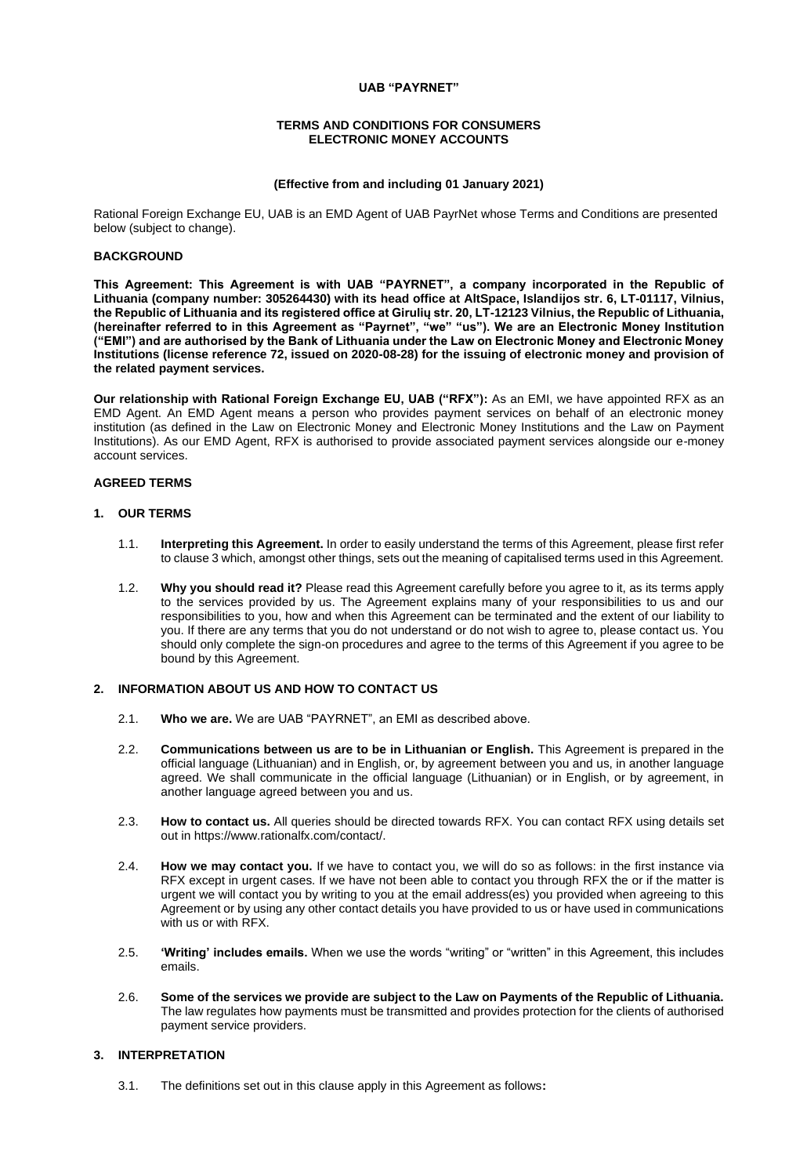## **UAB "PAYRNET"**

#### **TERMS AND CONDITIONS FOR CONSUMERS ELECTRONIC MONEY ACCOUNTS**

### **(Effective from and including 01 January 2021)**

Rational Foreign Exchange EU, UAB is an EMD Agent of UAB PayrNet whose Terms and Conditions are presented below (subject to change).

## **BACKGROUND**

**This Agreement: This Agreement is with UAB "PAYRNET", a company incorporated in the Republic of Lithuania (company number: 305264430) with its head office at AltSpace, Islandijos str. 6, LT-01117, Vilnius, the Republic of Lithuania and its registered office at Girulių str. 20, LT-12123 Vilnius, the Republic of Lithuania, (hereinafter referred to in this Agreement as "Payrnet", "we" "us"). We are an Electronic Money Institution ("EMI") and are authorised by the Bank of Lithuania under the Law on Electronic Money and Electronic Money Institutions (license reference 72, issued on 2020-08-28) for the issuing of electronic money and provision of the related payment services.**

**Our relationship with Rational Foreign Exchange EU, UAB ("RFX"):** As an EMI, we have appointed RFX as an EMD Agent. An EMD Agent means a person who provides payment services on behalf of an electronic money institution (as defined in the Law on Electronic Money and Electronic Money Institutions and the Law on Payment Institutions). As our EMD Agent, RFX is authorised to provide associated payment services alongside our e-money account services.

## **AGREED TERMS**

#### **1. OUR TERMS**

- 1.1. **Interpreting this Agreement.** In order to easily understand the terms of this Agreement, please first refer to clause 3 which, amongst other things, sets out the meaning of capitalised terms used in this Agreement.
- 1.2. **Why you should read it?** Please read this Agreement carefully before you agree to it, as its terms apply to the services provided by us. The Agreement explains many of your responsibilities to us and our responsibilities to you, how and when this Agreement can be terminated and the extent of our liability to you. If there are any terms that you do not understand or do not wish to agree to, please contact us. You should only complete the sign-on procedures and agree to the terms of this Agreement if you agree to be bound by this Agreement.

## **2. INFORMATION ABOUT US AND HOW TO CONTACT US**

- 2.1. **Who we are.** We are UAB "PAYRNET", an EMI as described above.
- 2.2. **Communications between us are to be in Lithuanian or English.** This Agreement is prepared in the official language (Lithuanian) and in English, or, by agreement between you and us, in another language agreed. We shall communicate in the official language (Lithuanian) or in English, or by agreement, in another language agreed between you and us.
- 2.3. **How to contact us.** All queries should be directed towards RFX. You can contact RFX using details set out in https://www.rationalfx.com/contact/.
- 2.4. **How we may contact you.** If we have to contact you, we will do so as follows: in the first instance via RFX except in urgent cases. If we have not been able to contact you through RFX the or if the matter is urgent we will contact you by writing to you at the email address(es) you provided when agreeing to this Agreement or by using any other contact details you have provided to us or have used in communications with us or with RFX.
- 2.5. **'Writing' includes emails.** When we use the words "writing" or "written" in this Agreement, this includes emails.
- 2.6. **Some of the services we provide are subject to the Law on Payments of the Republic of Lithuania.**  The law regulates how payments must be transmitted and provides protection for the clients of authorised payment service providers.

### **3. INTERPRETATION**

3.1. The definitions set out in this clause apply in this Agreement as follows**:**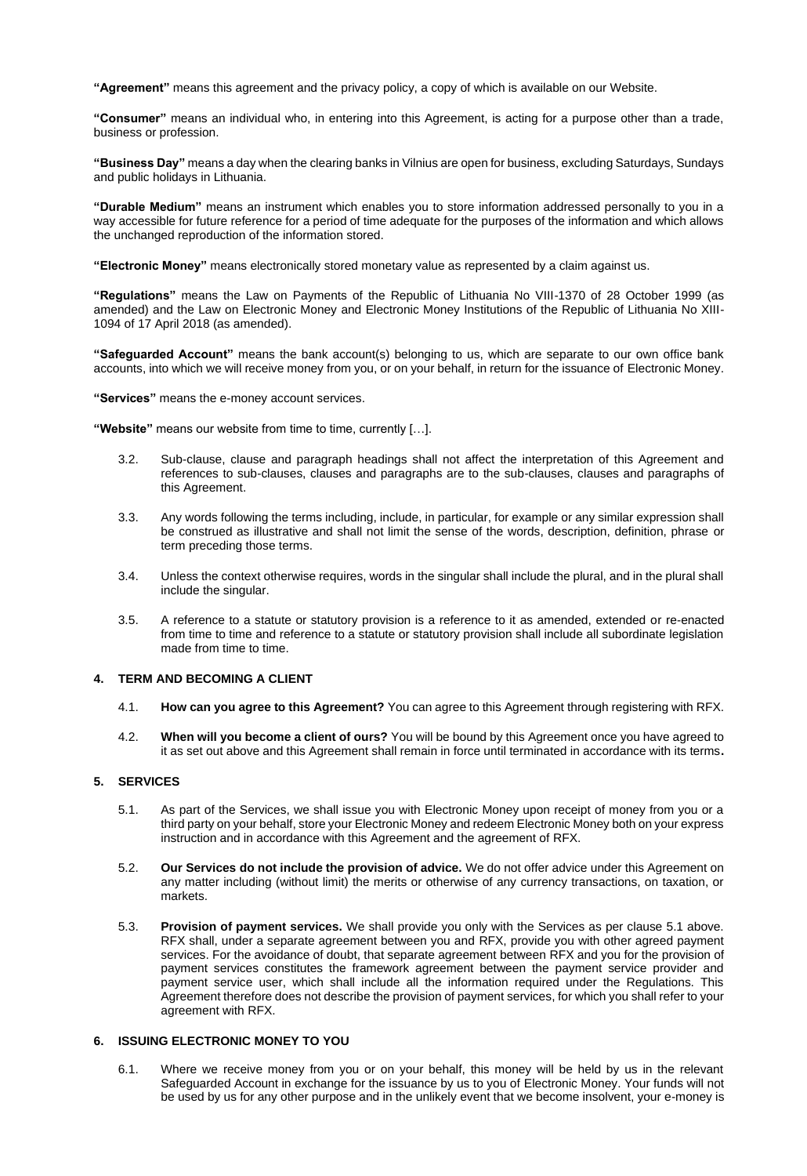**"Agreement"** means this agreement and the privacy policy, a copy of which is available on our Website.

**"Consumer"** means an individual who, in entering into this Agreement, is acting for a purpose other than a trade, business or profession.

**"Business Day"** means a day when the clearing banks in Vilnius are open for business, excluding Saturdays, Sundays and public holidays in Lithuania.

**"Durable Medium"** means an instrument which enables you to store information addressed personally to you in a way accessible for future reference for a period of time adequate for the purposes of the information and which allows the unchanged reproduction of the information stored.

**"Electronic Money"** means electronically stored monetary value as represented by a claim against us.

**"Regulations"** means the Law on Payments of the Republic of Lithuania No VIII-1370 of 28 October 1999 (as amended) and the Law on Electronic Money and Electronic Money Institutions of the Republic of Lithuania No XIII-1094 of 17 April 2018 (as amended).

**"Safeguarded Account"** means the bank account(s) belonging to us, which are separate to our own office bank accounts, into which we will receive money from you, or on your behalf, in return for the issuance of Electronic Money.

**"Services"** means the e-money account services.

**"Website"** means our website from time to time, currently […].

- 3.2. Sub-clause, clause and paragraph headings shall not affect the interpretation of this Agreement and references to sub-clauses, clauses and paragraphs are to the sub-clauses, clauses and paragraphs of this Agreement.
- 3.3. Any words following the terms including, include, in particular, for example or any similar expression shall be construed as illustrative and shall not limit the sense of the words, description, definition, phrase or term preceding those terms.
- 3.4. Unless the context otherwise requires, words in the singular shall include the plural, and in the plural shall include the singular.
- 3.5. A reference to a statute or statutory provision is a reference to it as amended, extended or re-enacted from time to time and reference to a statute or statutory provision shall include all subordinate legislation made from time to time.

## **4. TERM AND BECOMING A CLIENT**

- 4.1. **How can you agree to this Agreement?** You can agree to this Agreement through registering with RFX.
- 4.2. **When will you become a client of ours?** You will be bound by this Agreement once you have agreed to it as set out above and this Agreement shall remain in force until terminated in accordance with its terms**.**

## **5. SERVICES**

- 5.1. As part of the Services, we shall issue you with Electronic Money upon receipt of money from you or a third party on your behalf, store your Electronic Money and redeem Electronic Money both on your express instruction and in accordance with this Agreement and the agreement of RFX.
- 5.2. **Our Services do not include the provision of advice.** We do not offer advice under this Agreement on any matter including (without limit) the merits or otherwise of any currency transactions, on taxation, or markets.
- 5.3. **Provision of payment services.** We shall provide you only with the Services as per clause 5.1 above. RFX shall, under a separate agreement between you and RFX, provide you with other agreed payment services. For the avoidance of doubt, that separate agreement between RFX and you for the provision of payment services constitutes the framework agreement between the payment service provider and payment service user, which shall include all the information required under the Regulations. This Agreement therefore does not describe the provision of payment services, for which you shall refer to your agreement with RFX.

### **6. ISSUING ELECTRONIC MONEY TO YOU**

6.1. Where we receive money from you or on your behalf, this money will be held by us in the relevant Safeguarded Account in exchange for the issuance by us to you of Electronic Money. Your funds will not be used by us for any other purpose and in the unlikely event that we become insolvent, your e-money is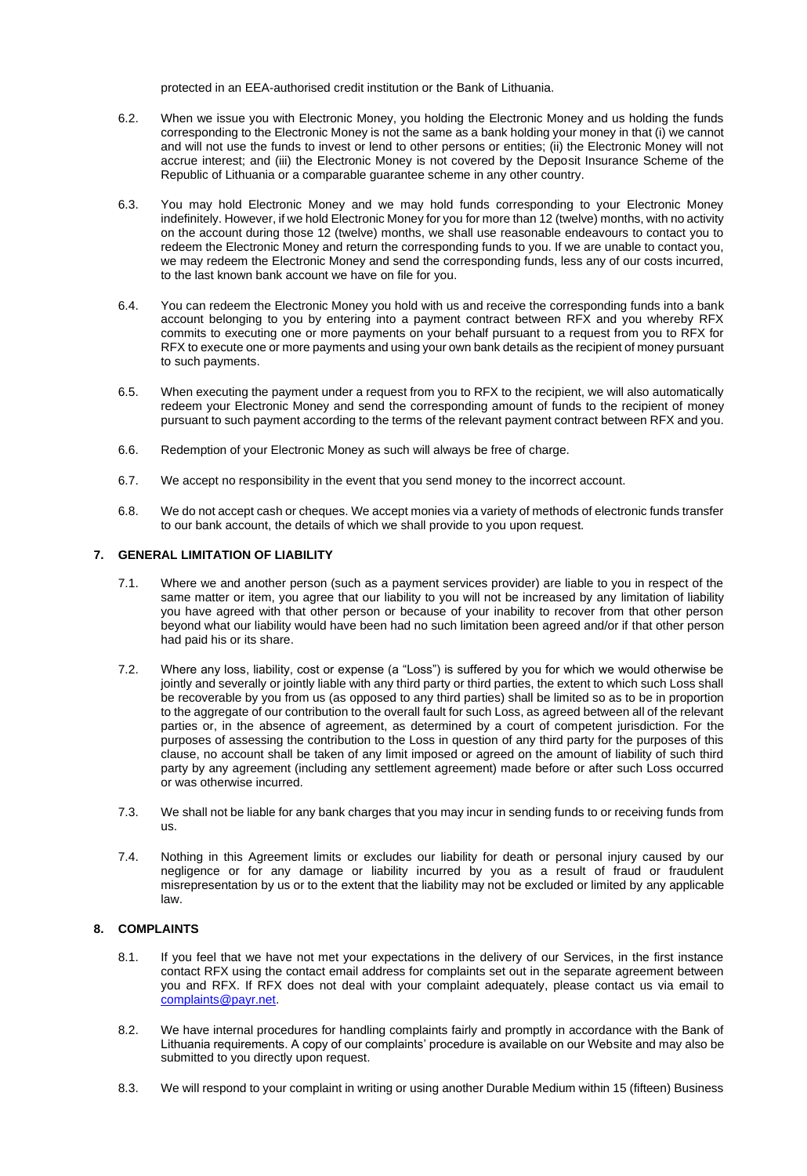protected in an EEA-authorised credit institution or the Bank of Lithuania.

- 6.2. When we issue you with Electronic Money, you holding the Electronic Money and us holding the funds corresponding to the Electronic Money is not the same as a bank holding your money in that (i) we cannot and will not use the funds to invest or lend to other persons or entities; (ii) the Electronic Money will not accrue interest; and (iii) the Electronic Money is not covered by the Deposit Insurance Scheme of the Republic of Lithuania or a comparable guarantee scheme in any other country.
- 6.3. You may hold Electronic Money and we may hold funds corresponding to your Electronic Money indefinitely. However, if we hold Electronic Money for you for more than 12 (twelve) months, with no activity on the account during those 12 (twelve) months, we shall use reasonable endeavours to contact you to redeem the Electronic Money and return the corresponding funds to you. If we are unable to contact you, we may redeem the Electronic Money and send the corresponding funds, less any of our costs incurred, to the last known bank account we have on file for you.
- 6.4. You can redeem the Electronic Money you hold with us and receive the corresponding funds into a bank account belonging to you by entering into a payment contract between RFX and you whereby RFX commits to executing one or more payments on your behalf pursuant to a request from you to RFX for RFX to execute one or more payments and using your own bank details as the recipient of money pursuant to such payments.
- 6.5. When executing the payment under a request from you to RFX to the recipient, we will also automatically redeem your Electronic Money and send the corresponding amount of funds to the recipient of money pursuant to such payment according to the terms of the relevant payment contract between RFX and you.
- 6.6. Redemption of your Electronic Money as such will always be free of charge.
- 6.7. We accept no responsibility in the event that you send money to the incorrect account.
- 6.8. We do not accept cash or cheques. We accept monies via a variety of methods of electronic funds transfer to our bank account, the details of which we shall provide to you upon request.

## **7. GENERAL LIMITATION OF LIABILITY**

- 7.1. Where we and another person (such as a payment services provider) are liable to you in respect of the same matter or item, you agree that our liability to you will not be increased by any limitation of liability you have agreed with that other person or because of your inability to recover from that other person beyond what our liability would have been had no such limitation been agreed and/or if that other person had paid his or its share.
- 7.2. Where any loss, liability, cost or expense (a "Loss") is suffered by you for which we would otherwise be jointly and severally or jointly liable with any third party or third parties, the extent to which such Loss shall be recoverable by you from us (as opposed to any third parties) shall be limited so as to be in proportion to the aggregate of our contribution to the overall fault for such Loss, as agreed between all of the relevant parties or, in the absence of agreement, as determined by a court of competent jurisdiction. For the purposes of assessing the contribution to the Loss in question of any third party for the purposes of this clause, no account shall be taken of any limit imposed or agreed on the amount of liability of such third party by any agreement (including any settlement agreement) made before or after such Loss occurred or was otherwise incurred.
- 7.3. We shall not be liable for any bank charges that you may incur in sending funds to or receiving funds from us.
- 7.4. Nothing in this Agreement limits or excludes our liability for death or personal injury caused by our negligence or for any damage or liability incurred by you as a result of fraud or fraudulent misrepresentation by us or to the extent that the liability may not be excluded or limited by any applicable law.

# **8. COMPLAINTS**

- 8.1. If you feel that we have not met your expectations in the delivery of our Services, in the first instance contact RFX using the contact email address for complaints set out in the separate agreement between you and RFX. If RFX does not deal with your complaint adequately, please contact us via email to complaints@payr.net.
- 8.2. We have internal procedures for handling complaints fairly and promptly in accordance with the Bank of Lithuania requirements. A copy of our complaints' procedure is available on our Website and may also be submitted to you directly upon request.
- 8.3. We will respond to your complaint in writing or using another Durable Medium within 15 (fifteen) Business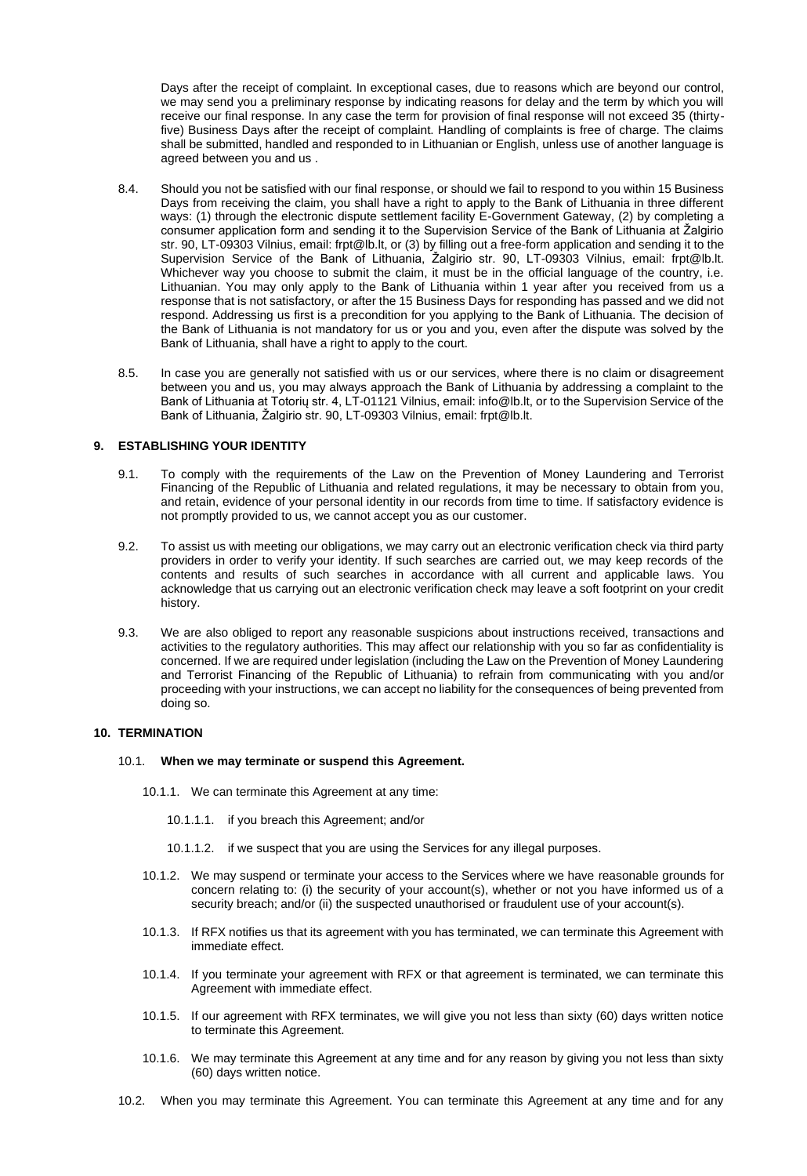Days after the receipt of complaint. In exceptional cases, due to reasons which are beyond our control, we may send you a preliminary response by indicating reasons for delay and the term by which you will receive our final response. In any case the term for provision of final response will not exceed 35 (thirtyfive) Business Days after the receipt of complaint. Handling of complaints is free of charge. The claims shall be submitted, handled and responded to in Lithuanian or English, unless use of another language is agreed between you and us .

- 8.4. Should you not be satisfied with our final response, or should we fail to respond to you within 15 Business Days from receiving the claim, you shall have a right to apply to the Bank of Lithuania in three different ways: (1) through the electronic dispute settlement facility E-Government Gateway, (2) by completing a consumer application form and sending it to the Supervision Service of the Bank of Lithuania at Žalgirio str. 90, LT-09303 Vilnius, email: frpt@lb.lt, or (3) by filling out a free-form application and sending it to the Supervision Service of the Bank of Lithuania, Žalgirio str. 90, LT-09303 Vilnius, email: frpt@lb.lt. Whichever way you choose to submit the claim, it must be in the official language of the country, i.e. Lithuanian. You may only apply to the Bank of Lithuania within 1 year after you received from us a response that is not satisfactory, or after the 15 Business Days for responding has passed and we did not respond. Addressing us first is a precondition for you applying to the Bank of Lithuania. The decision of the Bank of Lithuania is not mandatory for us or you and you, even after the dispute was solved by the Bank of Lithuania, shall have a right to apply to the court.
- 8.5. In case you are generally not satisfied with us or our services, where there is no claim or disagreement between you and us, you may always approach the Bank of Lithuania by addressing a complaint to the Bank of Lithuania at Totorių str. 4, LT-01121 Vilnius, email: info@lb.lt, or to the Supervision Service of the Bank of Lithuania, Žalgirio str. 90, LT-09303 Vilnius, email: frpt@lb.lt.

## **9. ESTABLISHING YOUR IDENTITY**

- 9.1. To comply with the requirements of the Law on the Prevention of Money Laundering and Terrorist Financing of the Republic of Lithuania and related regulations, it may be necessary to obtain from you, and retain, evidence of your personal identity in our records from time to time. If satisfactory evidence is not promptly provided to us, we cannot accept you as our customer.
- 9.2. To assist us with meeting our obligations, we may carry out an electronic verification check via third party providers in order to verify your identity. If such searches are carried out, we may keep records of the contents and results of such searches in accordance with all current and applicable laws. You acknowledge that us carrying out an electronic verification check may leave a soft footprint on your credit history.
- 9.3. We are also obliged to report any reasonable suspicions about instructions received, transactions and activities to the regulatory authorities. This may affect our relationship with you so far as confidentiality is concerned. If we are required under legislation (including the Law on the Prevention of Money Laundering and Terrorist Financing of the Republic of Lithuania) to refrain from communicating with you and/or proceeding with your instructions, we can accept no liability for the consequences of being prevented from doing so.

## **10. TERMINATION**

#### 10.1. **When we may terminate or suspend this Agreement.**

- 10.1.1. We can terminate this Agreement at any time:
	- 10.1.1.1. if you breach this Agreement; and/or
	- 10.1.1.2. if we suspect that you are using the Services for any illegal purposes.
- 10.1.2. We may suspend or terminate your access to the Services where we have reasonable grounds for concern relating to: (i) the security of your account(s), whether or not you have informed us of a security breach; and/or (ii) the suspected unauthorised or fraudulent use of your account(s).
- 10.1.3. If RFX notifies us that its agreement with you has terminated, we can terminate this Agreement with immediate effect.
- 10.1.4. If you terminate your agreement with RFX or that agreement is terminated, we can terminate this Agreement with immediate effect.
- 10.1.5. If our agreement with RFX terminates, we will give you not less than sixty (60) days written notice to terminate this Agreement.
- 10.1.6. We may terminate this Agreement at any time and for any reason by giving you not less than sixty (60) days written notice.
- 10.2. When you may terminate this Agreement. You can terminate this Agreement at any time and for any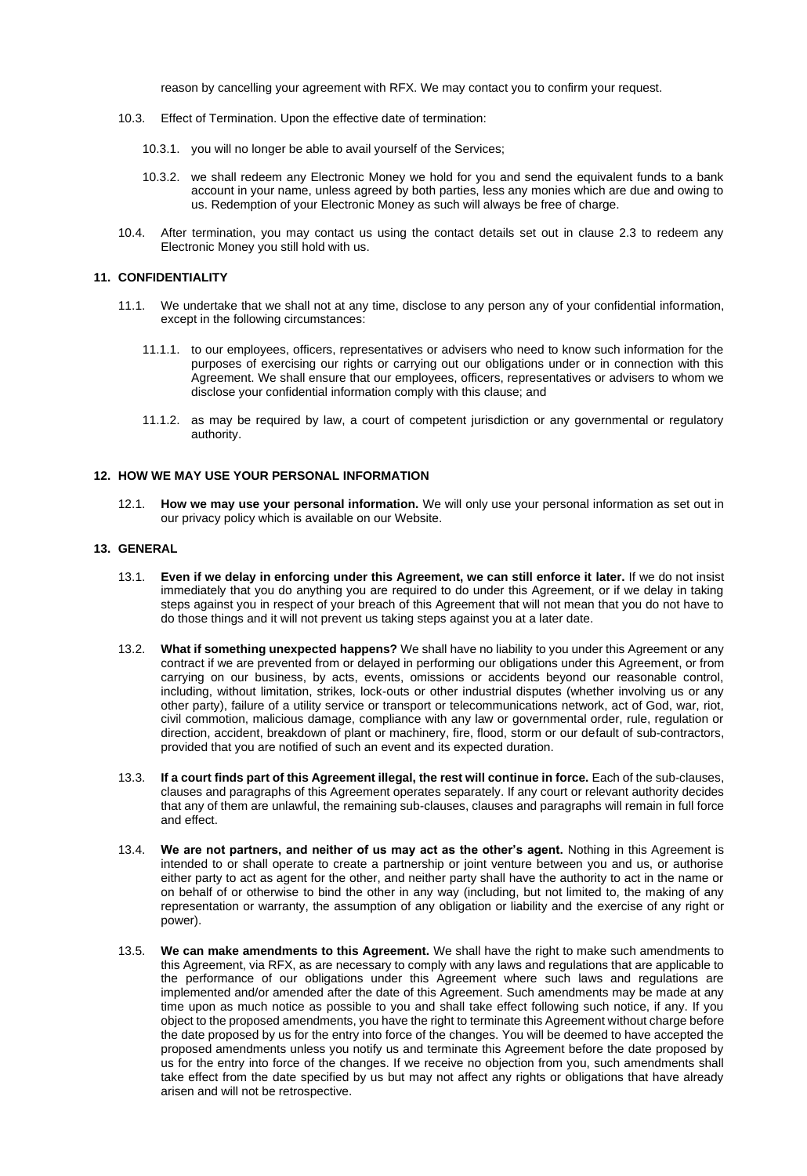reason by cancelling your agreement with RFX. We may contact you to confirm your request.

- 10.3. Effect of Termination. Upon the effective date of termination:
	- 10.3.1. you will no longer be able to avail yourself of the Services;
	- 10.3.2. we shall redeem any Electronic Money we hold for you and send the equivalent funds to a bank account in your name, unless agreed by both parties, less any monies which are due and owing to us. Redemption of your Electronic Money as such will always be free of charge.
- 10.4. After termination, you may contact us using the contact details set out in clause 2.3 to redeem any Electronic Money you still hold with us.

## **11. CONFIDENTIALITY**

- 11.1. We undertake that we shall not at any time, disclose to any person any of your confidential information, except in the following circumstances:
	- 11.1.1. to our employees, officers, representatives or advisers who need to know such information for the purposes of exercising our rights or carrying out our obligations under or in connection with this Agreement. We shall ensure that our employees, officers, representatives or advisers to whom we disclose your confidential information comply with this clause; and
	- 11.1.2. as may be required by law, a court of competent jurisdiction or any governmental or regulatory authority.

## **12. HOW WE MAY USE YOUR PERSONAL INFORMATION**

12.1. **How we may use your personal information.** We will only use your personal information as set out in our privacy policy which is available on our Website.

## **13. GENERAL**

- 13.1. **Even if we delay in enforcing under this Agreement, we can still enforce it later.** If we do not insist immediately that you do anything you are required to do under this Agreement, or if we delay in taking steps against you in respect of your breach of this Agreement that will not mean that you do not have to do those things and it will not prevent us taking steps against you at a later date.
- 13.2. **What if something unexpected happens?** We shall have no liability to you under this Agreement or any contract if we are prevented from or delayed in performing our obligations under this Agreement, or from carrying on our business, by acts, events, omissions or accidents beyond our reasonable control, including, without limitation, strikes, lock-outs or other industrial disputes (whether involving us or any other party), failure of a utility service or transport or telecommunications network, act of God, war, riot, civil commotion, malicious damage, compliance with any law or governmental order, rule, regulation or direction, accident, breakdown of plant or machinery, fire, flood, storm or our default of sub-contractors, provided that you are notified of such an event and its expected duration.
- 13.3. **If a court finds part of this Agreement illegal, the rest will continue in force.** Each of the sub-clauses, clauses and paragraphs of this Agreement operates separately. If any court or relevant authority decides that any of them are unlawful, the remaining sub-clauses, clauses and paragraphs will remain in full force and effect.
- 13.4. **We are not partners, and neither of us may act as the other's agent.** Nothing in this Agreement is intended to or shall operate to create a partnership or joint venture between you and us, or authorise either party to act as agent for the other, and neither party shall have the authority to act in the name or on behalf of or otherwise to bind the other in any way (including, but not limited to, the making of any representation or warranty, the assumption of any obligation or liability and the exercise of any right or power).
- 13.5. **We can make amendments to this Agreement.** We shall have the right to make such amendments to this Agreement, via RFX, as are necessary to comply with any laws and regulations that are applicable to the performance of our obligations under this Agreement where such laws and regulations are implemented and/or amended after the date of this Agreement. Such amendments may be made at any time upon as much notice as possible to you and shall take effect following such notice, if any. If you object to the proposed amendments, you have the right to terminate this Agreement without charge before the date proposed by us for the entry into force of the changes. You will be deemed to have accepted the proposed amendments unless you notify us and terminate this Agreement before the date proposed by us for the entry into force of the changes. If we receive no objection from you, such amendments shall take effect from the date specified by us but may not affect any rights or obligations that have already arisen and will not be retrospective.